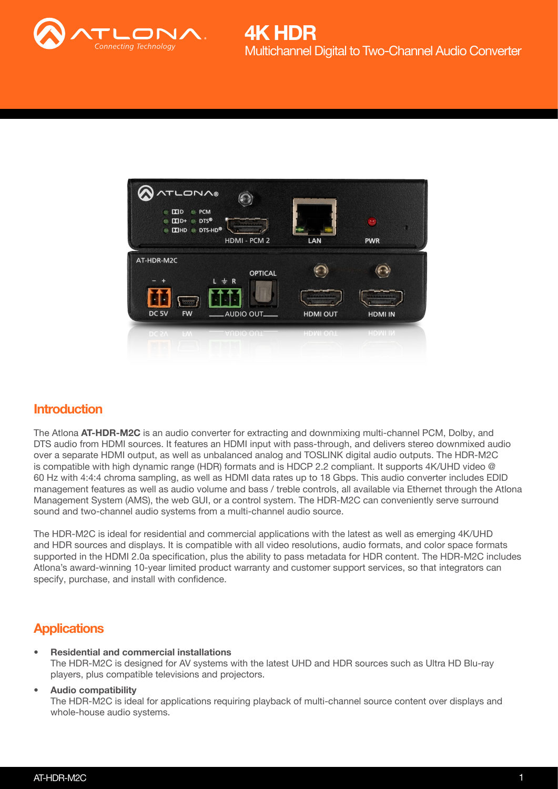



### **Introduction**

The Atlona AT-HDR-M2C is an audio converter for extracting and downmixing multi-channel PCM, Dolby, and DTS audio from HDMI sources. It features an HDMI input with pass-through, and delivers stereo downmixed audio over a separate HDMI output, as well as unbalanced analog and TOSLINK digital audio outputs. The HDR-M2C is compatible with high dynamic range (HDR) formats and is HDCP 2.2 compliant. It supports 4K/UHD video @ 60 Hz with 4:4:4 chroma sampling, as well as HDMI data rates up to 18 Gbps. This audio converter includes EDID management features as well as audio volume and bass / treble controls, all available via Ethernet through the Atlona Management System (AMS), the web GUI, or a control system. The HDR-M2C can conveniently serve surround sound and two-channel audio systems from a multi-channel audio source.

The HDR-M2C is ideal for residential and commercial applications with the latest as well as emerging 4K/UHD and HDR sources and displays. It is compatible with all video resolutions, audio formats, and color space formats supported in the HDMI 2.0a specification, plus the ability to pass metadata for HDR content. The HDR-M2C includes Atlona's award-winning 10-year limited product warranty and customer support services, so that integrators can specify, purchase, and install with confidence.

## **Applications**

• Residential and commercial installations The HDR-M2C is designed for AV systems with the latest UHD and HDR sources such as Ultra HD Blu-ray players, plus compatible televisions and projectors.

#### • Audio compatibility

The HDR-M2C is ideal for applications requiring playback of multi-channel source content over displays and whole-house audio systems.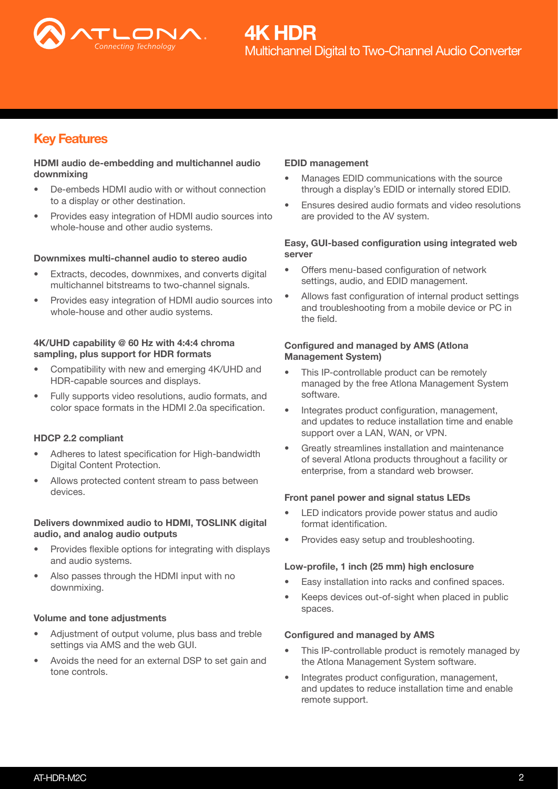

## Key Features

#### HDMI audio de-embedding and multichannel audio downmixing

- De-embeds HDMI audio with or without connection to a display or other destination.
- Provides easy integration of HDMI audio sources into whole-house and other audio systems.

#### Downmixes multi-channel audio to stereo audio

- Extracts, decodes, downmixes, and converts digital multichannel bitstreams to two-channel signals.
- Provides easy integration of HDMI audio sources into whole-house and other audio systems.

#### 4K/UHD capability @ 60 Hz with 4:4:4 chroma sampling, plus support for HDR formats

- Compatibility with new and emerging 4K/UHD and HDR-capable sources and displays.
- Fully supports video resolutions, audio formats, and color space formats in the HDMI 2.0a specification.

#### HDCP 2.2 compliant

- Adheres to latest specification for High-bandwidth Digital Content Protection.
- Allows protected content stream to pass between devices.

#### Delivers downmixed audio to HDMI, TOSLINK digital audio, and analog audio outputs

- Provides flexible options for integrating with displays and audio systems.
- Also passes through the HDMI input with no downmixing.

#### Volume and tone adjustments

- Adjustment of output volume, plus bass and treble settings via AMS and the web GUI.
- Avoids the need for an external DSP to set gain and tone controls.

#### EDID management

- Manages EDID communications with the source through a display's EDID or internally stored EDID.
- Ensures desired audio formats and video resolutions are provided to the AV system.

#### Easy, GUI-based configuration using integrated web server

- Offers menu-based configuration of network settings, audio, and EDID management.
- Allows fast configuration of internal product settings and troubleshooting from a mobile device or PC in the field.

#### Configured and managed by AMS (Atlona Management System)

- This IP-controllable product can be remotely managed by the free Atlona Management System software.
- Integrates product configuration, management, and updates to reduce installation time and enable support over a LAN, WAN, or VPN.
- Greatly streamlines installation and maintenance of several Atlona products throughout a facility or enterprise, from a standard web browser.

#### Front panel power and signal status LEDs

- LED indicators provide power status and audio format identification.
- Provides easy setup and troubleshooting.

#### Low-profile, 1 inch (25 mm) high enclosure

- Easy installation into racks and confined spaces.
- Keeps devices out-of-sight when placed in public spaces.

#### Configured and managed by AMS

- This IP-controllable product is remotely managed by the Atlona Management System software.
- Integrates product configuration, management, and updates to reduce installation time and enable remote support.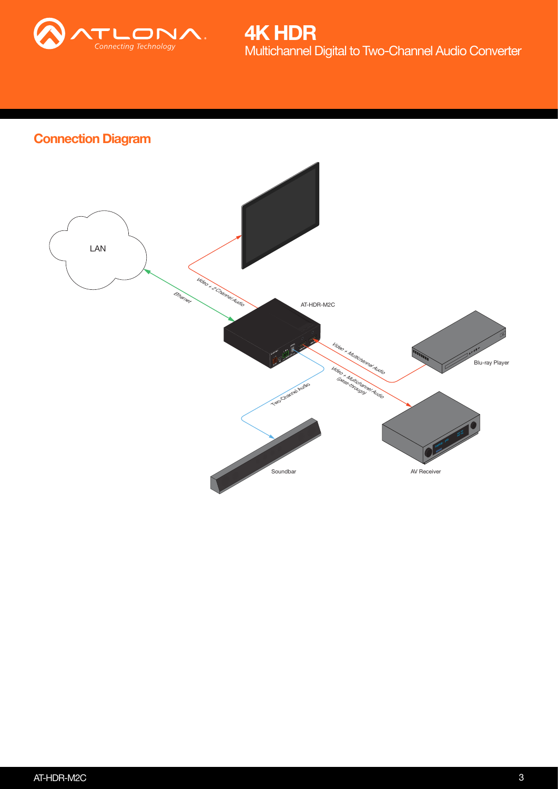

Multichannel Digital to Two-Channel Audio Converter 4K HDR

# Connection Diagram